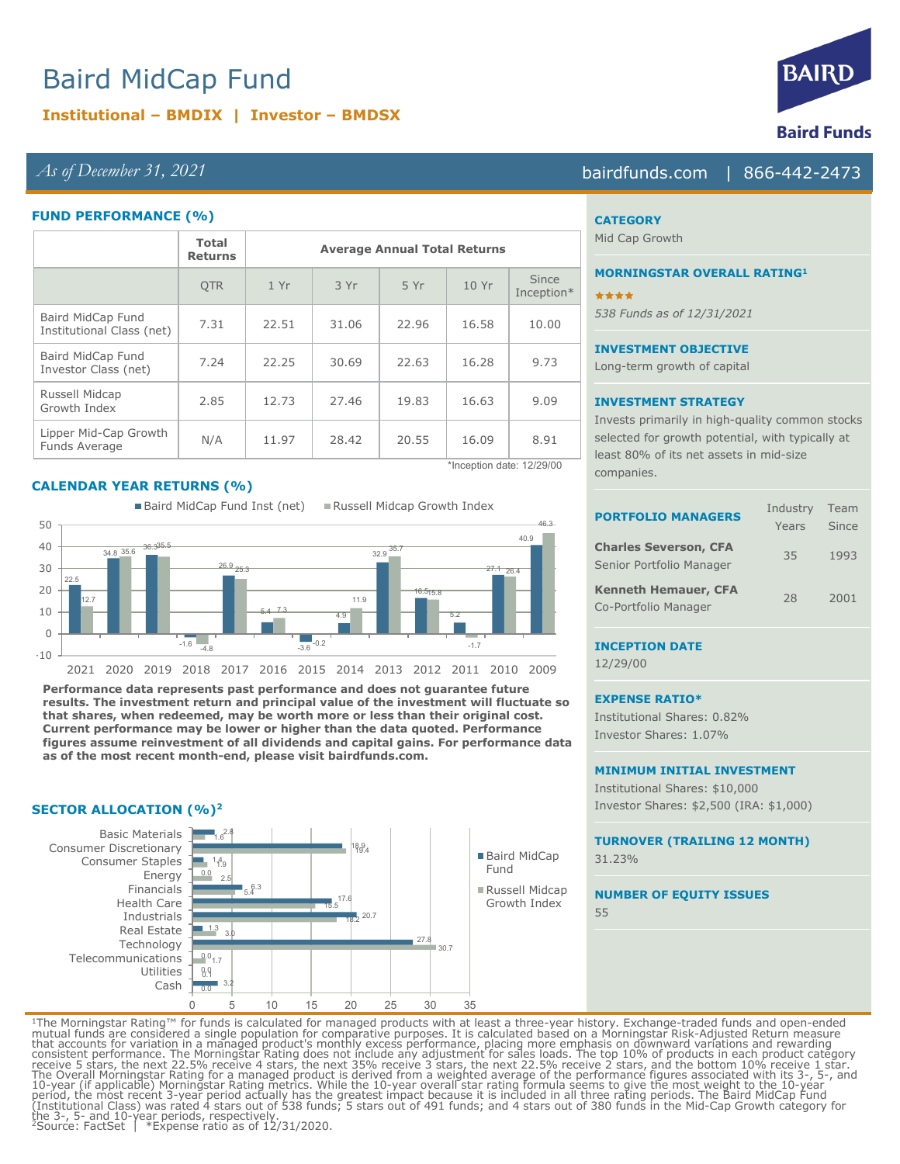# Baird MidCap Fund

# **Institutional – BMDIX | Investor – BMDSX**

## *As of December 31, 2021* bairdfunds.com | 866-442-2473

#### **FUND PERFORMANCE (%)**

|                                                | <b>Total</b><br><b>Returns</b> | <b>Average Annual Total Returns</b> |       |       |       |                     |
|------------------------------------------------|--------------------------------|-------------------------------------|-------|-------|-------|---------------------|
|                                                | <b>OTR</b>                     | 1Yr                                 | 3 Yr  | 5 Yr  | 10Yr  | Since<br>Inception* |
| Baird MidCap Fund<br>Institutional Class (net) | 7.31                           | 22.51                               | 31.06 | 22.96 | 16.58 | 10.00               |
| Baird MidCap Fund<br>Investor Class (net)      | 7.24                           | 22.25                               | 30.69 | 22.63 | 16.28 | 9.73                |
| Russell Midcap<br>Growth Index                 | 2.85                           | 12.73                               | 27.46 | 19.83 | 16.63 | 9.09                |
| Lipper Mid-Cap Growth<br>Funds Average         | N/A                            | 11.97                               | 28.42 | 20.55 | 16.09 | 8.91                |

#### **CALENDAR YEAR RETURNS (%)**

22.5 34.8 36.3 35.6 35.5  $-1.6$   $-4.8$ 26.9 <sub>25.3</sub> 5.4  $-3.6$  $\overline{4.9}$ 32.9 16.5 5.2 27.1 40.9 12.7 7.3 -0.2 11.9 35.7 15.8 -1.7 26.4 46.3  $-10$  $\Omega$ 10 20 30  $40$ 50 2021 2020 2019 2018 2017 2016 2015 2014 2013 2012 2011 2010 2009 ■ Baird MidCap Fund Inst (net) ■ Russell Midcap Growth Index

**Performance data represents past performance and does not guarantee future results. The investment return and principal value of the investment will fluctuate so that shares, when redeemed, may be worth more or less than their original cost. Current performance may be lower or higher than the data quoted. Performance figures assume reinvestment of all dividends and capital gains. For performance data as of the most recent month-end, please visit bairdfunds.com.** 

#### **SECTOR ALLOCATION (%)2**



\*Inception date: 12/29/00

### **CATEGORY**

Mid Cap Growth

# **MORNINGSTAR OVERALL RATING1**

\*\*\*\* *538 Funds as of 12/31/2021*

#### **INVESTMENT OBJECTIVE**

Long-term growth of capital

#### **INVESTMENT STRATEGY**

Invests primarily in high-quality common stocks selected for growth potential, with typically at least 80% of its net assets in mid-size companies.

| <b>PORTFOLIO MANAGERS</b>                                | Industry<br>Years | Team<br>Since |
|----------------------------------------------------------|-------------------|---------------|
| <b>Charles Severson, CFA</b><br>Senior Portfolio Manager | 35                | 1993          |
| <b>Kenneth Hemauer, CFA</b><br>Co-Portfolio Manager      | 28                | 2001          |

#### **INCEPTION DATE**

12/29/00

#### **EXPENSE RATIO\***

Institutional Shares: 0.82% Investor Shares: 1.07%

#### **MINIMUM INITIAL INVESTMENT**

Institutional Shares: \$10,000 Investor Shares: \$2,500 (IRA: \$1,000)

# **TURNOVER (TRAILING 12 MONTH)**

31.23%

#### **NUMBER OF EQUITY ISSUES** 55

<sup>1</sup>The Morningstar Rating™ for funds is calculated for managed products with at least a three-year history. Exchange-traded funds and open-ended<br>mutual funds are considered a single population for comparative purposes. It The Overall Morningstar Rating for a managed product is derived from a weighted average of the performance figures associated with its 3-, 5-, and<br>10-year (if applicable) Morningstar Rating metrics. While the 10-year overa